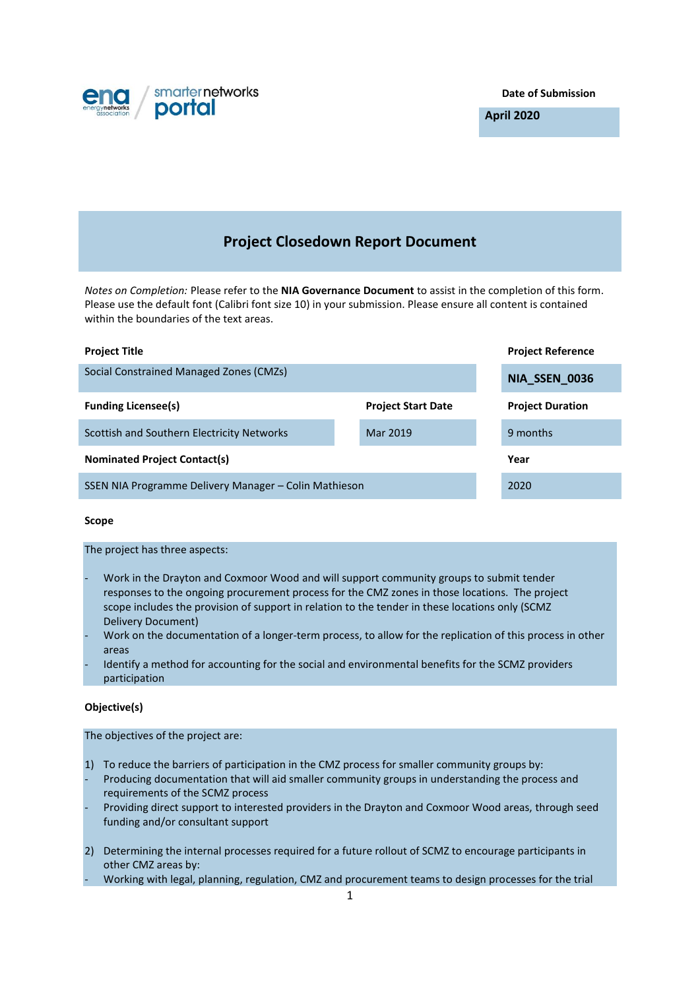

**Date of Submission**

**April 2020**

# **Project Closedown Report Document**

*Notes on Completion:* Please refer to the **NIA Governance Document** to assist in the completion of this form. Please use the default font (Calibri font size 10) in your submission. Please ensure all content is contained within the boundaries of the text areas.

| <b>Project Title</b>                                  |                           | <b>Project Reference</b> |
|-------------------------------------------------------|---------------------------|--------------------------|
| Social Constrained Managed Zones (CMZs)               |                           | NIA_SSEN_0036            |
| <b>Funding Licensee(s)</b>                            | <b>Project Start Date</b> | <b>Project Duration</b>  |
| Scottish and Southern Electricity Networks            | Mar 2019                  | 9 months                 |
| <b>Nominated Project Contact(s)</b>                   |                           | Year                     |
| SSEN NIA Programme Delivery Manager – Colin Mathieson |                           | 2020                     |

# **Scope**

The project has three aspects:

- Work in the Drayton and Coxmoor Wood and will support community groups to submit tender responses to the ongoing procurement process for the CMZ zones in those locations. The project scope includes the provision of support in relation to the tender in these locations only (SCMZ Delivery Document)
- Work on the documentation of a longer-term process, to allow for the replication of this process in other areas
- Identify a method for accounting for the social and environmental benefits for the SCMZ providers participation

# **Objective(s)**

The objectives of the project are:

- 1) To reduce the barriers of participation in the CMZ process for smaller community groups by:
- Producing documentation that will aid smaller community groups in understanding the process and requirements of the SCMZ process
- Providing direct support to interested providers in the Drayton and Coxmoor Wood areas, through seed funding and/or consultant support
- 2) Determining the internal processes required for a future rollout of SCMZ to encourage participants in other CMZ areas by:
- Working with legal, planning, regulation, CMZ and procurement teams to design processes for the trial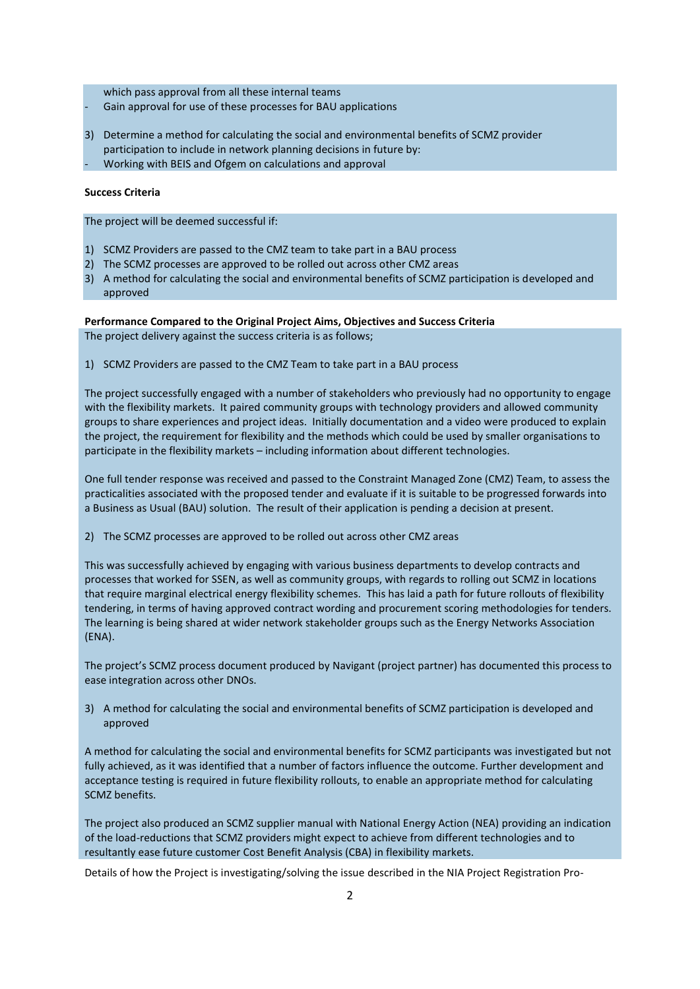which pass approval from all these internal teams

- Gain approval for use of these processes for BAU applications
- 3) Determine a method for calculating the social and environmental benefits of SCMZ provider participation to include in network planning decisions in future by:
- Working with BEIS and Ofgem on calculations and approval

## **Success Criteria**

The project will be deemed successful if:

- 1) SCMZ Providers are passed to the CMZ team to take part in a BAU process
- 2) The SCMZ processes are approved to be rolled out across other CMZ areas
- 3) A method for calculating the social and environmental benefits of SCMZ participation is developed and approved

### **Performance Compared to the Original Project Aims, Objectives and Success Criteria**

The project delivery against the success criteria is as follows;

1) SCMZ Providers are passed to the CMZ Team to take part in a BAU process

The project successfully engaged with a number of stakeholders who previously had no opportunity to engage with the flexibility markets. It paired community groups with technology providers and allowed community groups to share experiences and project ideas. Initially documentation and a video were produced to explain the project, the requirement for flexibility and the methods which could be used by smaller organisations to participate in the flexibility markets – including information about different technologies.

One full tender response was received and passed to the Constraint Managed Zone (CMZ) Team, to assess the practicalities associated with the proposed tender and evaluate if it is suitable to be progressed forwards into a Business as Usual (BAU) solution. The result of their application is pending a decision at present.

2) The SCMZ processes are approved to be rolled out across other CMZ areas

This was successfully achieved by engaging with various business departments to develop contracts and processes that worked for SSEN, as well as community groups, with regards to rolling out SCMZ in locations that require marginal electrical energy flexibility schemes. This has laid a path for future rollouts of flexibility tendering, in terms of having approved contract wording and procurement scoring methodologies for tenders. The learning is being shared at wider network stakeholder groups such as the Energy Networks Association (ENA).

The project's SCMZ process document produced by Navigant (project partner) has documented this process to ease integration across other DNOs.

3) A method for calculating the social and environmental benefits of SCMZ participation is developed and approved

A method for calculating the social and environmental benefits for SCMZ participants was investigated but not fully achieved, as it was identified that a number of factors influence the outcome. Further development and acceptance testing is required in future flexibility rollouts, to enable an appropriate method for calculating SCMZ benefits.

The project also produced an SCMZ supplier manual with National Energy Action (NEA) providing an indication of the load-reductions that SCMZ providers might expect to achieve from different technologies and to resultantly ease future customer Cost Benefit Analysis (CBA) in flexibility markets.

Details of how the Project is investigating/solving the issue described in the NIA Project Registration Pro-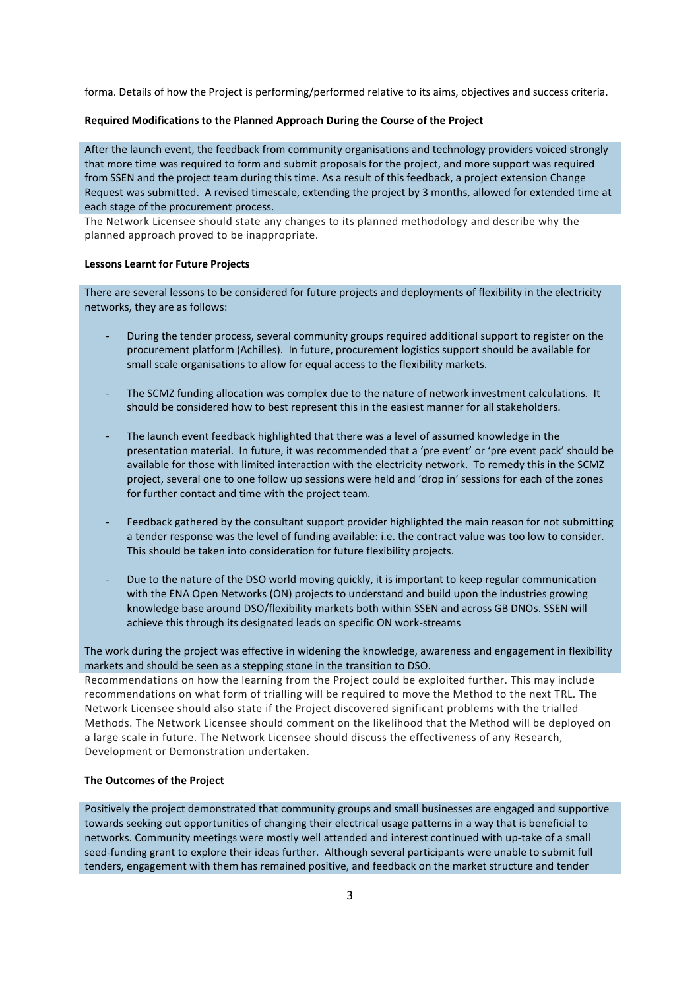forma. Details of how the Project is performing/performed relative to its aims, objectives and success criteria.

#### **Required Modifications to the Planned Approach During the Course of the Project**

After the launch event, the feedback from community organisations and technology providers voiced strongly that more time was required to form and submit proposals for the project, and more support was required from SSEN and the project team during this time. As a result of this feedback, a project extension Change Request was submitted. A revised timescale, extending the project by 3 months, allowed for extended time at each stage of the procurement process.

The Network Licensee should state any changes to its planned methodology and describe why the planned approach proved to be inappropriate.

#### **Lessons Learnt for Future Projects**

There are several lessons to be considered for future projects and deployments of flexibility in the electricity networks, they are as follows:

- During the tender process, several community groups required additional support to register on the procurement platform (Achilles). In future, procurement logistics support should be available for small scale organisations to allow for equal access to the flexibility markets.
- The SCMZ funding allocation was complex due to the nature of network investment calculations. It should be considered how to best represent this in the easiest manner for all stakeholders.
- The launch event feedback highlighted that there was a level of assumed knowledge in the presentation material. In future, it was recommended that a 'pre event' or 'pre event pack' should be available for those with limited interaction with the electricity network. To remedy this in the SCMZ project, several one to one follow up sessions were held and 'drop in' sessions for each of the zones for further contact and time with the project team.
- Feedback gathered by the consultant support provider highlighted the main reason for not submitting a tender response was the level of funding available: i.e. the contract value was too low to consider. This should be taken into consideration for future flexibility projects.
- Due to the nature of the DSO world moving quickly, it is important to keep regular communication with the ENA Open Networks (ON) projects to understand and build upon the industries growing knowledge base around DSO/flexibility markets both within SSEN and across GB DNOs. SSEN will achieve this through its designated leads on specific ON work-streams

The work during the project was effective in widening the knowledge, awareness and engagement in flexibility markets and should be seen as a stepping stone in the transition to DSO.

Recommendations on how the learning from the Project could be exploited further. This may include recommendations on what form of trialling will be required to move the Method to the next TRL. The Network Licensee should also state if the Project discovered significant problems with the trialled Methods. The Network Licensee should comment on the likelihood that the Method will be deployed on a large scale in future. The Network Licensee should discuss the effectiveness of any Research, Development or Demonstration undertaken.

## **The Outcomes of the Project**

Positively the project demonstrated that community groups and small businesses are engaged and supportive towards seeking out opportunities of changing their electrical usage patterns in a way that is beneficial to networks. Community meetings were mostly well attended and interest continued with up-take of a small seed-funding grant to explore their ideas further. Although several participants were unable to submit full tenders, engagement with them has remained positive, and feedback on the market structure and tender